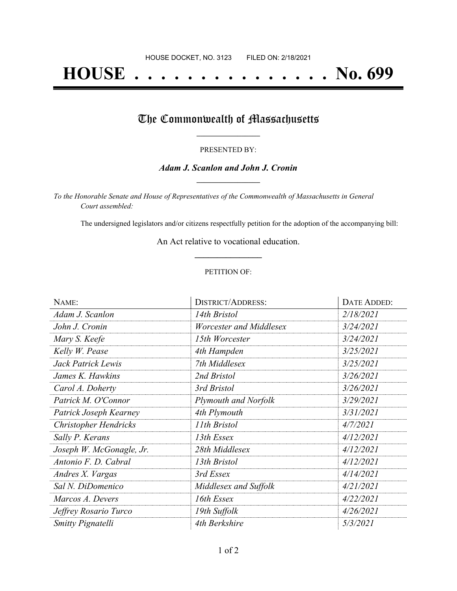# **HOUSE . . . . . . . . . . . . . . . No. 699**

## The Commonwealth of Massachusetts

#### PRESENTED BY:

### *Adam J. Scanlon and John J. Cronin* **\_\_\_\_\_\_\_\_\_\_\_\_\_\_\_\_\_**

*To the Honorable Senate and House of Representatives of the Commonwealth of Massachusetts in General Court assembled:*

The undersigned legislators and/or citizens respectfully petition for the adoption of the accompanying bill:

An Act relative to vocational education. **\_\_\_\_\_\_\_\_\_\_\_\_\_\_\_**

#### PETITION OF:

| NAME:                        | <b>DISTRICT/ADDRESS:</b>    | <b>DATE ADDED:</b> |
|------------------------------|-----------------------------|--------------------|
| Adam J. Scanlon              | 14th Bristol                | 2/18/2021          |
| John J. Cronin               | Worcester and Middlesex     | 3/24/2021          |
| Mary S. Keefe                | 15th Worcester              | 3/24/2021          |
| Kelly W. Pease               | 4th Hampden                 | 3/25/2021          |
| Jack Patrick Lewis           | 7th Middlesex               | 3/25/2021          |
| James K. Hawkins             | 2nd Bristol                 | 3/26/2021          |
| Carol A. Doherty             | 3rd Bristol                 | 3/26/2021          |
| Patrick M. O'Connor          | <b>Plymouth and Norfolk</b> | 3/29/2021          |
| Patrick Joseph Kearney       | 4th Plymouth                | 3/31/2021          |
| <b>Christopher Hendricks</b> | 11th Bristol                | 4/7/2021           |
| Sally P. Kerans              | 13th Essex                  | 4/12/2021          |
| Joseph W. McGonagle, Jr.     | 28th Middlesex              | 4/12/2021          |
| Antonio F. D. Cabral         | 13th Bristol                | 4/12/2021          |
| Andres X. Vargas             | 3rd Essex                   | 4/14/2021          |
| Sal N. DiDomenico            | Middlesex and Suffolk       | 4/21/2021          |
| Marcos A. Devers             | 16th Essex                  | 4/22/2021          |
| Jeffrey Rosario Turco        | 19th Suffolk                | 4/26/2021          |
| Smitty Pignatelli            | 4th Berkshire               | 5/3/2021           |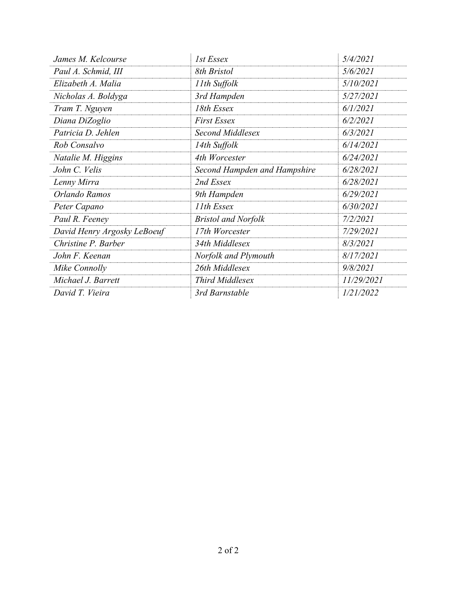| James M. Kelcourse          | 1st Essex                    | 5/4/2021   |
|-----------------------------|------------------------------|------------|
| Paul A. Schmid, III         | 8th Bristol                  | 5/6/2021   |
| Elizabeth A. Malia          | 11th Suffolk                 | 5/10/2021  |
| Nicholas A. Boldyga         | 3rd Hampden                  | 5/27/2021  |
| Tram T. Nguyen              | 18th Essex                   | 6/1/2021   |
| Diana DiZoglio              | <b>First Essex</b>           | 6/2/2021   |
| Patricia D. Jehlen          | Second Middlesex             | 6/3/2021   |
| Rob Consalvo                | 14th Suffolk                 | 6/14/2021  |
| Natalie M. Higgins          | 4th Worcester                | 6/24/2021  |
| John C. Velis               | Second Hampden and Hampshire | 6/28/2021  |
| Lenny Mirra                 | 2nd Essex                    | 6/28/2021  |
| Orlando Ramos               | 9th Hampden                  | 6/29/2021  |
| Peter Capano                | 11th Essex                   | 6/30/2021  |
| Paul R. Feeney              | <b>Bristol and Norfolk</b>   | 7/2/2021   |
| David Henry Argosky LeBoeuf | 17th Worcester               | 7/29/2021  |
| Christine P. Barber         | 34th Middlesex               | 8/3/2021   |
| John F. Keenan              | Norfolk and Plymouth         | 8/17/2021  |
| Mike Connolly               | 26th Middlesex               | 9/8/2021   |
| Michael J. Barrett          | <b>Third Middlesex</b>       | 11/29/2021 |
| David T. Vieira             | 3rd Barnstable               | 1/21/2022  |